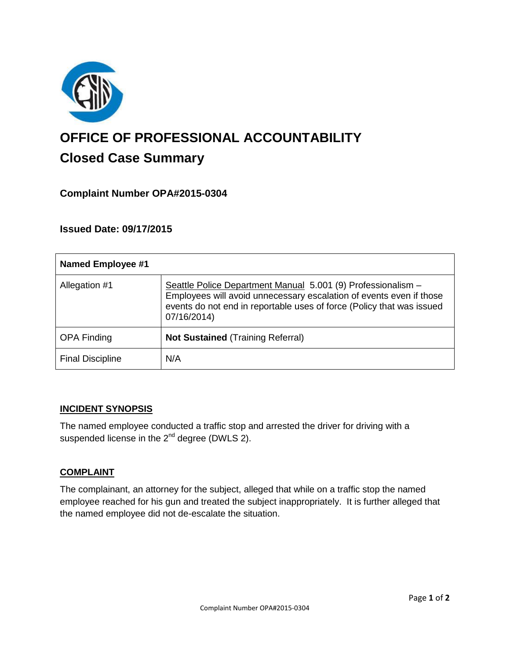

# **OFFICE OF PROFESSIONAL ACCOUNTABILITY Closed Case Summary**

# **Complaint Number OPA#2015-0304**

## **Issued Date: 09/17/2015**

| <b>Named Employee #1</b> |                                                                                                                                                                                                                             |
|--------------------------|-----------------------------------------------------------------------------------------------------------------------------------------------------------------------------------------------------------------------------|
| Allegation #1            | Seattle Police Department Manual 5.001 (9) Professionalism -<br>Employees will avoid unnecessary escalation of events even if those<br>events do not end in reportable uses of force (Policy that was issued<br>07/16/2014) |
| <b>OPA Finding</b>       | <b>Not Sustained (Training Referral)</b>                                                                                                                                                                                    |
| <b>Final Discipline</b>  | N/A                                                                                                                                                                                                                         |

## **INCIDENT SYNOPSIS**

The named employee conducted a traffic stop and arrested the driver for driving with a suspended license in the 2<sup>nd</sup> degree (DWLS 2).

## **COMPLAINT**

The complainant, an attorney for the subject, alleged that while on a traffic stop the named employee reached for his gun and treated the subject inappropriately. It is further alleged that the named employee did not de-escalate the situation.